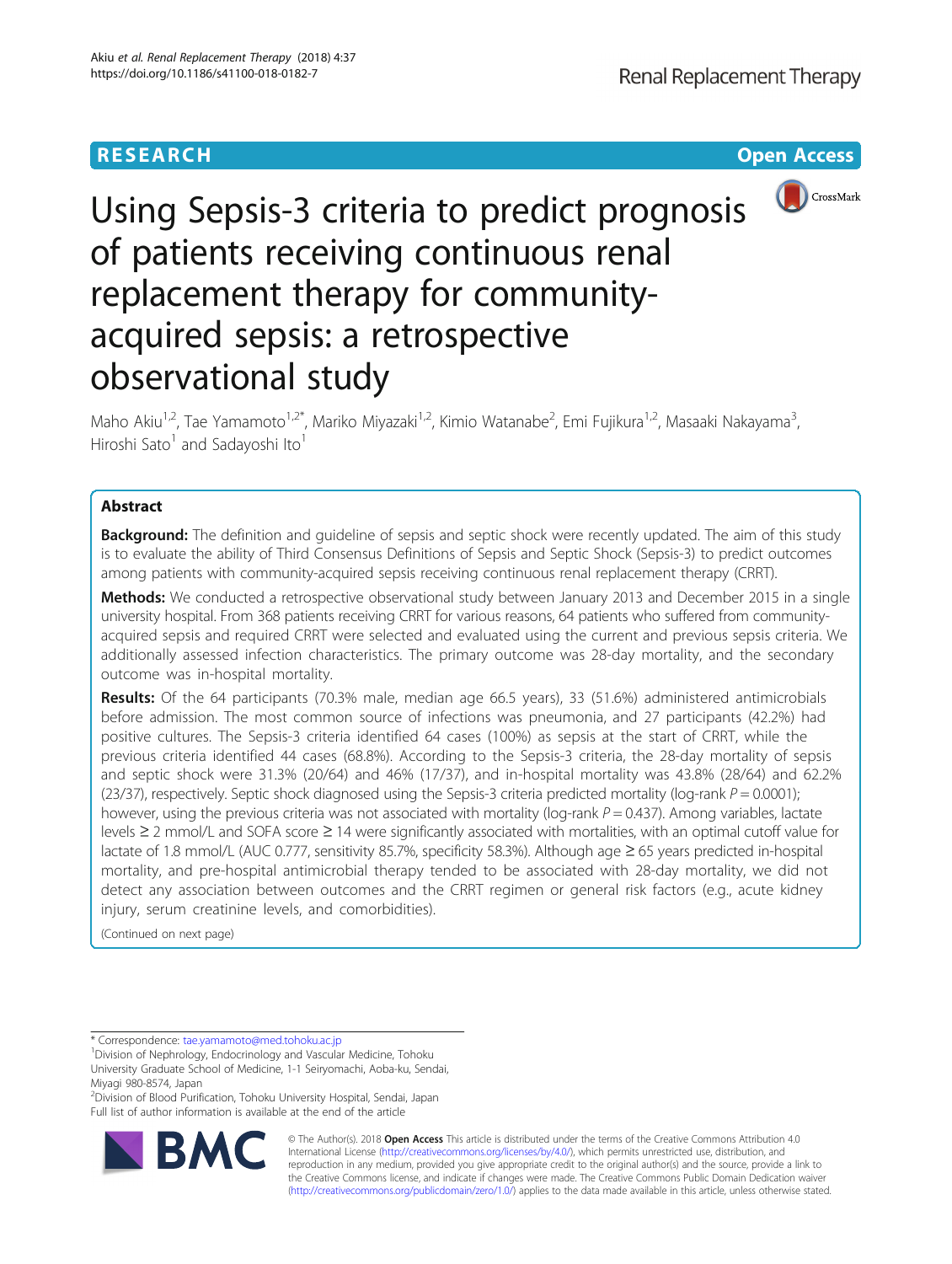# **RESEARCH CHEAR CHEAR CHEAR CHEAR CHEAR CHEAR CHEAR CHEAR CHEAR CHEAR CHEAR CHEAR CHEAR CHEAR CHEAR CHEAR CHEAR**



# Using Sepsis-3 criteria to predict prognosis of patients receiving continuous renal replacement therapy for communityacquired sepsis: a retrospective observational study

Maho Akiu<sup>1,2</sup>, Tae Yamamoto<sup>1,2\*</sup>, Mariko Miyazaki<sup>1,2</sup>, Kimio Watanabe<sup>2</sup>, Emi Fujikura<sup>1,2</sup>, Masaaki Nakayama<sup>3</sup> , Hiroshi Sato $<sup>1</sup>$  and Sadayoshi Ito $<sup>1</sup>$ </sup></sup>

# Abstract

**Background:** The definition and quideline of sepsis and septic shock were recently updated. The aim of this study is to evaluate the ability of Third Consensus Definitions of Sepsis and Septic Shock (Sepsis-3) to predict outcomes among patients with community-acquired sepsis receiving continuous renal replacement therapy (CRRT).

Methods: We conducted a retrospective observational study between January 2013 and December 2015 in a single university hospital. From 368 patients receiving CRRT for various reasons, 64 patients who suffered from communityacquired sepsis and required CRRT were selected and evaluated using the current and previous sepsis criteria. We additionally assessed infection characteristics. The primary outcome was 28-day mortality, and the secondary outcome was in-hospital mortality.

Results: Of the 64 participants (70.3% male, median age 66.5 years), 33 (51.6%) administered antimicrobials before admission. The most common source of infections was pneumonia, and 27 participants (42.2%) had positive cultures. The Sepsis-3 criteria identified 64 cases (100%) as sepsis at the start of CRRT, while the previous criteria identified 44 cases (68.8%). According to the Sepsis-3 criteria, the 28-day mortality of sepsis and septic shock were 31.3% (20/64) and 46% (17/37), and in-hospital mortality was 43.8% (28/64) and 62.2% (23/37), respectively. Septic shock diagnosed using the Sepsis-3 criteria predicted mortality (log-rank  $P = 0.0001$ ); however, using the previous criteria was not associated with mortality ( $log-rank P = 0.437$ ). Among variables, lactate levels ≥ 2 mmol/L and SOFA score ≥ 14 were significantly associated with mortalities, with an optimal cutoff value for lactate of 1.8 mmol/L (AUC 0.777, sensitivity 85.7%, specificity 58.3%). Although age ≥ 65 years predicted in-hospital mortality, and pre-hospital antimicrobial therapy tended to be associated with 28-day mortality, we did not detect any association between outcomes and the CRRT regimen or general risk factors (e.g., acute kidney injury, serum creatinine levels, and comorbidities).

(Continued on next page)

\* Correspondence: [tae.yamamoto@med.tohoku.ac.jp](mailto:tae.yamamoto@med.tohoku.ac.jp) <sup>1</sup>

<sup>2</sup> Division of Blood Purification, Tohoku University Hospital, Sendai, Japan Full list of author information is available at the end of the article



© The Author(s). 2018 Open Access This article is distributed under the terms of the Creative Commons Attribution 4.0 International License [\(http://creativecommons.org/licenses/by/4.0/](http://creativecommons.org/licenses/by/4.0/)), which permits unrestricted use, distribution, and reproduction in any medium, provided you give appropriate credit to the original author(s) and the source, provide a link to the Creative Commons license, and indicate if changes were made. The Creative Commons Public Domain Dedication waiver [\(http://creativecommons.org/publicdomain/zero/1.0/](http://creativecommons.org/publicdomain/zero/1.0/)) applies to the data made available in this article, unless otherwise stated.

Division of Nephrology, Endocrinology and Vascular Medicine, Tohoku University Graduate School of Medicine, 1-1 Seiryomachi, Aoba-ku, Sendai, Miyagi 980-8574, Japan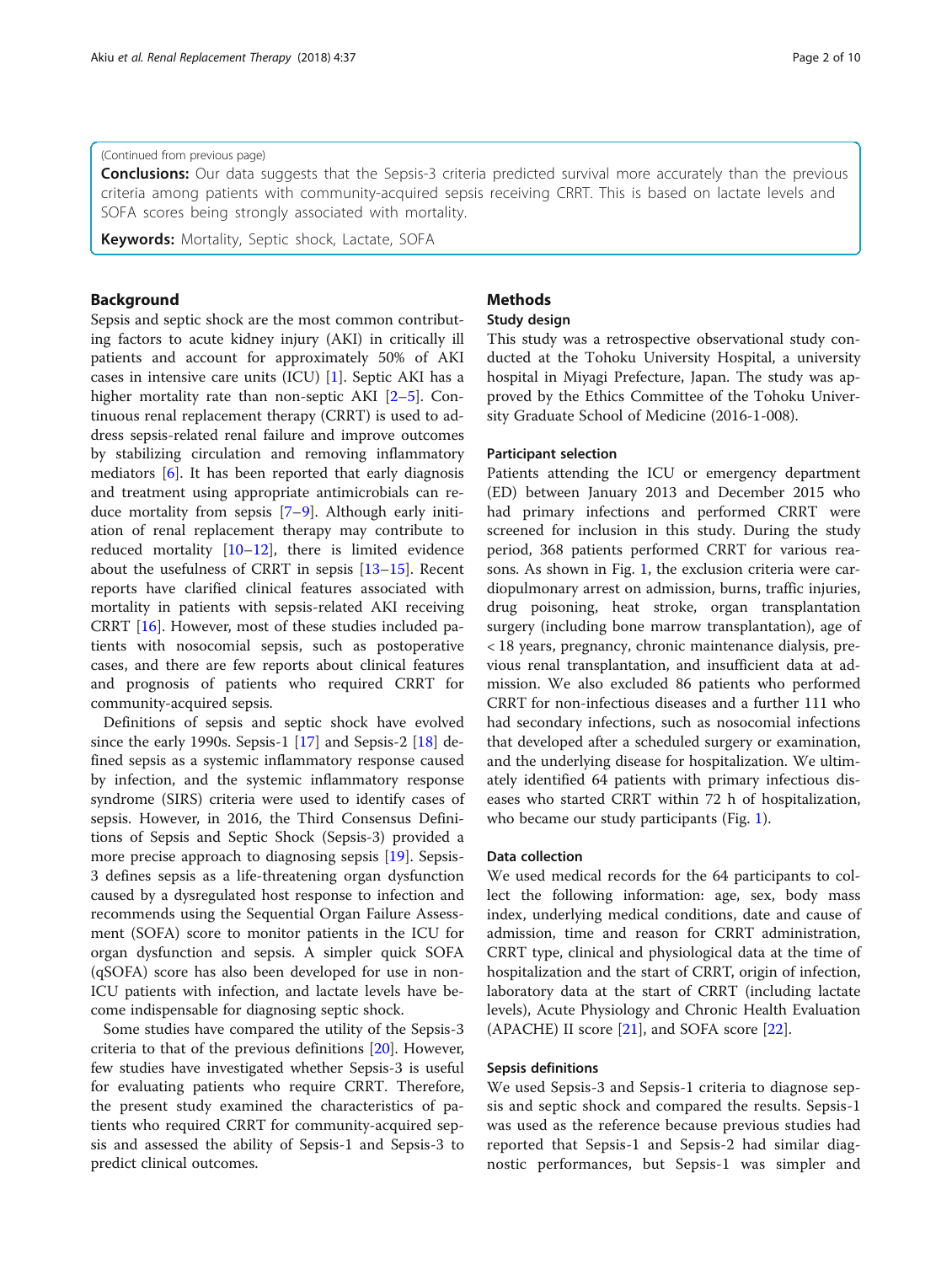# (Continued from previous page)

**Conclusions:** Our data suggests that the Sepsis-3 criteria predicted survival more accurately than the previous criteria among patients with community-acquired sepsis receiving CRRT. This is based on lactate levels and SOFA scores being strongly associated with mortality.

Keywords: Mortality, Septic shock, Lactate, SOFA

# Background

Sepsis and septic shock are the most common contributing factors to acute kidney injury (AKI) in critically ill patients and account for approximately 50% of AKI cases in intensive care units (ICU) [[1\]](#page-9-0). Septic AKI has a higher mortality rate than non-septic AKI [\[2](#page-9-0)–[5\]](#page-9-0). Continuous renal replacement therapy (CRRT) is used to address sepsis-related renal failure and improve outcomes by stabilizing circulation and removing inflammatory mediators [\[6](#page-9-0)]. It has been reported that early diagnosis and treatment using appropriate antimicrobials can reduce mortality from sepsis [\[7](#page-9-0)–[9\]](#page-9-0). Although early initiation of renal replacement therapy may contribute to reduced mortality [[10](#page-9-0)–[12](#page-9-0)], there is limited evidence about the usefulness of CRRT in sepsis [[13](#page-9-0)–[15\]](#page-9-0). Recent reports have clarified clinical features associated with mortality in patients with sepsis-related AKI receiving CRRT [\[16](#page-9-0)]. However, most of these studies included patients with nosocomial sepsis, such as postoperative cases, and there are few reports about clinical features and prognosis of patients who required CRRT for community-acquired sepsis.

Definitions of sepsis and septic shock have evolved since the early 1990s. Sepsis-1 [\[17](#page-9-0)] and Sepsis-2 [\[18](#page-9-0)] defined sepsis as a systemic inflammatory response caused by infection, and the systemic inflammatory response syndrome (SIRS) criteria were used to identify cases of sepsis. However, in 2016, the Third Consensus Definitions of Sepsis and Septic Shock (Sepsis-3) provided a more precise approach to diagnosing sepsis [[19](#page-9-0)]. Sepsis-3 defines sepsis as a life-threatening organ dysfunction caused by a dysregulated host response to infection and recommends using the Sequential Organ Failure Assessment (SOFA) score to monitor patients in the ICU for organ dysfunction and sepsis. A simpler quick SOFA (qSOFA) score has also been developed for use in non-ICU patients with infection, and lactate levels have become indispensable for diagnosing septic shock.

Some studies have compared the utility of the Sepsis-3 criteria to that of the previous definitions [\[20\]](#page-9-0). However, few studies have investigated whether Sepsis-3 is useful for evaluating patients who require CRRT. Therefore, the present study examined the characteristics of patients who required CRRT for community-acquired sepsis and assessed the ability of Sepsis-1 and Sepsis-3 to predict clinical outcomes.

# **Methods**

# Study design

This study was a retrospective observational study conducted at the Tohoku University Hospital, a university hospital in Miyagi Prefecture, Japan. The study was approved by the Ethics Committee of the Tohoku University Graduate School of Medicine (2016-1-008).

## Participant selection

Patients attending the ICU or emergency department (ED) between January 2013 and December 2015 who had primary infections and performed CRRT were screened for inclusion in this study. During the study period, 368 patients performed CRRT for various reasons. As shown in Fig. [1](#page-2-0), the exclusion criteria were cardiopulmonary arrest on admission, burns, traffic injuries, drug poisoning, heat stroke, organ transplantation surgery (including bone marrow transplantation), age of < 18 years, pregnancy, chronic maintenance dialysis, previous renal transplantation, and insufficient data at admission. We also excluded 86 patients who performed CRRT for non-infectious diseases and a further 111 who had secondary infections, such as nosocomial infections that developed after a scheduled surgery or examination, and the underlying disease for hospitalization. We ultimately identified 64 patients with primary infectious diseases who started CRRT within 72 h of hospitalization, who became our study participants (Fig. [1](#page-2-0)).

# Data collection

We used medical records for the 64 participants to collect the following information: age, sex, body mass index, underlying medical conditions, date and cause of admission, time and reason for CRRT administration, CRRT type, clinical and physiological data at the time of hospitalization and the start of CRRT, origin of infection, laboratory data at the start of CRRT (including lactate levels), Acute Physiology and Chronic Health Evaluation (APACHE) II score [[21](#page-9-0)], and SOFA score [\[22](#page-9-0)].

# Sepsis definitions

We used Sepsis-3 and Sepsis-1 criteria to diagnose sepsis and septic shock and compared the results. Sepsis-1 was used as the reference because previous studies had reported that Sepsis-1 and Sepsis-2 had similar diagnostic performances, but Sepsis-1 was simpler and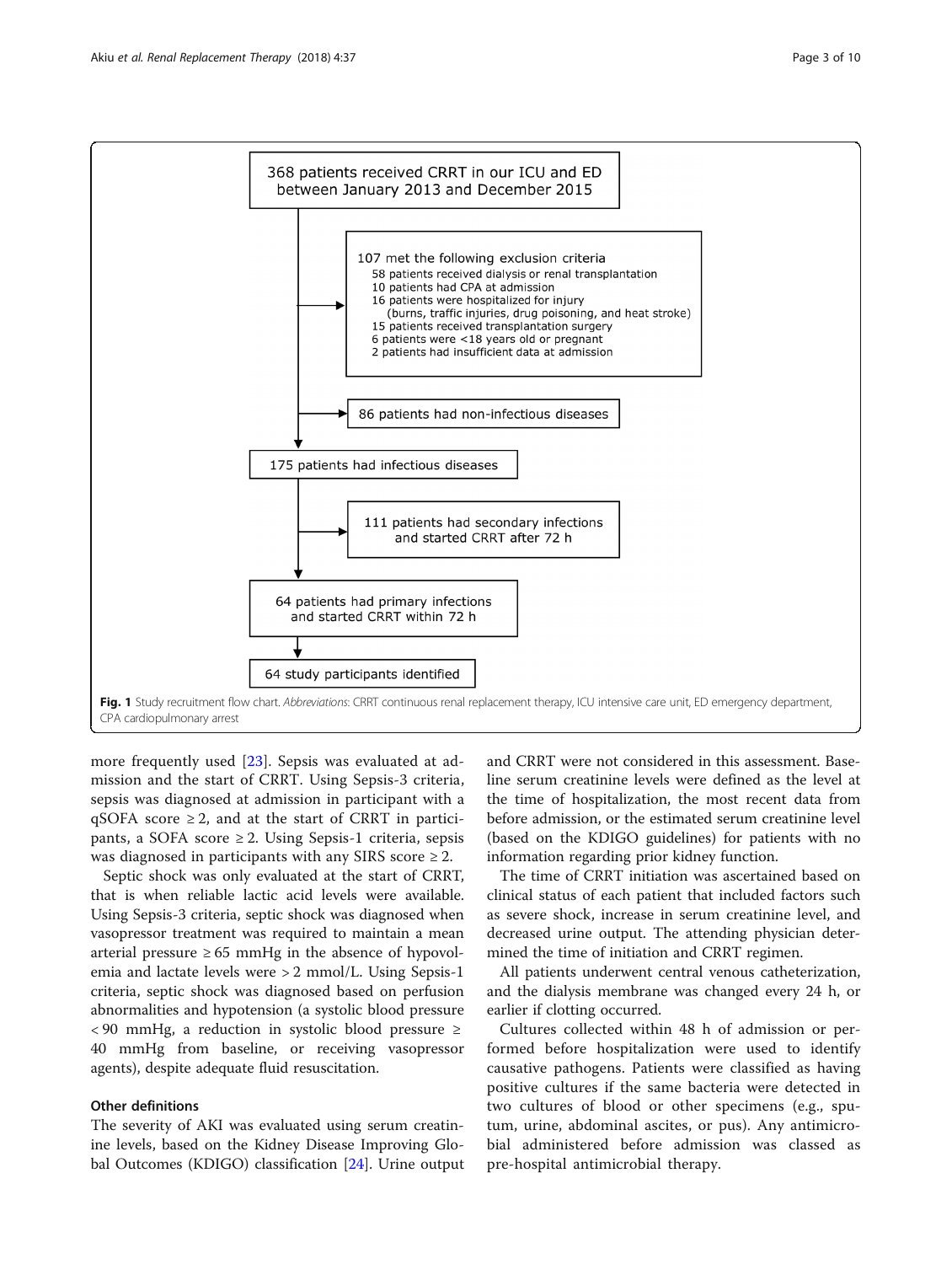<span id="page-2-0"></span>

more frequently used [[23\]](#page-9-0). Sepsis was evaluated at admission and the start of CRRT. Using Sepsis-3 criteria, sepsis was diagnosed at admission in participant with a qSOFA score  $\geq 2$ , and at the start of CRRT in participants, a SOFA score  $\geq$  2. Using Sepsis-1 criteria, sepsis was diagnosed in participants with any SIRS score  $\geq 2$ .

Septic shock was only evaluated at the start of CRRT, that is when reliable lactic acid levels were available. Using Sepsis-3 criteria, septic shock was diagnosed when vasopressor treatment was required to maintain a mean arterial pressure  $\geq 65$  mmHg in the absence of hypovolemia and lactate levels were > 2 mmol/L. Using Sepsis-1 criteria, septic shock was diagnosed based on perfusion abnormalities and hypotension (a systolic blood pressure < 90 mmHg, a reduction in systolic blood pressure ≥ 40 mmHg from baseline, or receiving vasopressor agents), despite adequate fluid resuscitation.

# Other definitions

The severity of AKI was evaluated using serum creatinine levels, based on the Kidney Disease Improving Global Outcomes (KDIGO) classification [\[24\]](#page-9-0). Urine output

and CRRT were not considered in this assessment. Baseline serum creatinine levels were defined as the level at the time of hospitalization, the most recent data from before admission, or the estimated serum creatinine level (based on the KDIGO guidelines) for patients with no information regarding prior kidney function.

The time of CRRT initiation was ascertained based on clinical status of each patient that included factors such as severe shock, increase in serum creatinine level, and decreased urine output. The attending physician determined the time of initiation and CRRT regimen.

All patients underwent central venous catheterization, and the dialysis membrane was changed every 24 h, or earlier if clotting occurred.

Cultures collected within 48 h of admission or performed before hospitalization were used to identify causative pathogens. Patients were classified as having positive cultures if the same bacteria were detected in two cultures of blood or other specimens (e.g., sputum, urine, abdominal ascites, or pus). Any antimicrobial administered before admission was classed as pre-hospital antimicrobial therapy.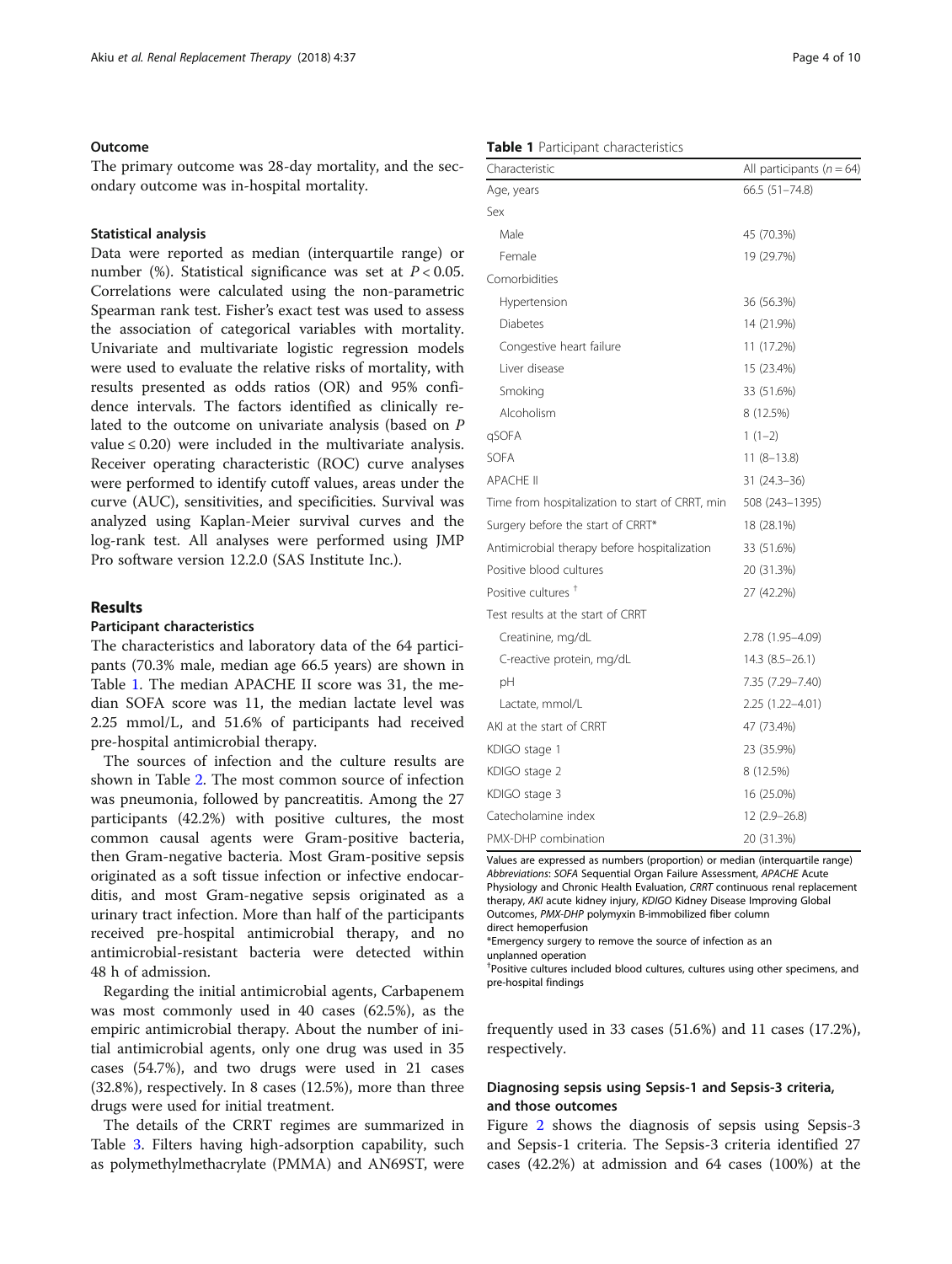# <span id="page-3-0"></span>Outcome

The primary outcome was 28-day mortality, and the secondary outcome was in-hospital mortality.

## Statistical analysis

Data were reported as median (interquartile range) or number (%). Statistical significance was set at  $P < 0.05$ . Correlations were calculated using the non-parametric Spearman rank test. Fisher's exact test was used to assess the association of categorical variables with mortality. Univariate and multivariate logistic regression models were used to evaluate the relative risks of mortality, with results presented as odds ratios (OR) and 95% confidence intervals. The factors identified as clinically related to the outcome on univariate analysis (based on P value  $\leq$  0.20) were included in the multivariate analysis. Receiver operating characteristic (ROC) curve analyses were performed to identify cutoff values, areas under the curve (AUC), sensitivities, and specificities. Survival was analyzed using Kaplan-Meier survival curves and the log-rank test. All analyses were performed using JMP Pro software version 12.2.0 (SAS Institute Inc.).

# Results

# Participant characteristics

The characteristics and laboratory data of the 64 participants (70.3% male, median age 66.5 years) are shown in Table 1. The median APACHE II score was 31, the median SOFA score was 11, the median lactate level was 2.25 mmol/L, and 51.6% of participants had received pre-hospital antimicrobial therapy.

The sources of infection and the culture results are shown in Table [2](#page-4-0). The most common source of infection was pneumonia, followed by pancreatitis. Among the 27 participants (42.2%) with positive cultures, the most common causal agents were Gram-positive bacteria, then Gram-negative bacteria. Most Gram-positive sepsis originated as a soft tissue infection or infective endocarditis, and most Gram-negative sepsis originated as a urinary tract infection. More than half of the participants received pre-hospital antimicrobial therapy, and no antimicrobial-resistant bacteria were detected within 48 h of admission.

Regarding the initial antimicrobial agents, Carbapenem was most commonly used in 40 cases (62.5%), as the empiric antimicrobial therapy. About the number of initial antimicrobial agents, only one drug was used in 35 cases (54.7%), and two drugs were used in 21 cases (32.8%), respectively. In 8 cases (12.5%), more than three drugs were used for initial treatment.

The details of the CRRT regimes are summarized in Table [3](#page-4-0). Filters having high-adsorption capability, such as polymethylmethacrylate (PMMA) and AN69ST, were

# Table 1 Participant characteristics

| Characteristic                                  | All participants ( $n = 64$ ) |  |
|-------------------------------------------------|-------------------------------|--|
| Age, years                                      | 66.5 (51-74.8)                |  |
| Sex                                             |                               |  |
| Male                                            | 45 (70.3%)                    |  |
| Female                                          | 19 (29.7%)                    |  |
| Comorbidities                                   |                               |  |
| Hypertension                                    | 36 (56.3%)                    |  |
| <b>Diabetes</b>                                 | 14 (21.9%)                    |  |
| Congestive heart failure                        | 11 (17.2%)                    |  |
| Liver disease                                   | 15 (23.4%)                    |  |
| Smoking                                         | 33 (51.6%)                    |  |
| Alcoholism                                      | 8 (12.5%)                     |  |
| qSOFA                                           | $1(1-2)$                      |  |
| <b>SOFA</b>                                     | $11(8-13.8)$                  |  |
| <b>APACHE II</b>                                | $31(24.3-36)$                 |  |
| Time from hospitalization to start of CRRT, min | 508 (243-1395)                |  |
| Surgery before the start of CRRT*               | 18 (28.1%)                    |  |
| Antimicrobial therapy before hospitalization    | 33 (51.6%)                    |  |
| Positive blood cultures                         | 20 (31.3%)                    |  |
| Positive cultures <sup>+</sup>                  | 27 (42.2%)                    |  |
| Test results at the start of CRRT               |                               |  |
| Creatinine, mg/dL                               | 2.78 (1.95-4.09)              |  |
| C-reactive protein, mg/dL                       | 14.3 (8.5-26.1)               |  |
| pH                                              | 7.35 (7.29-7.40)              |  |
| Lactate, mmol/L                                 | 2.25 (1.22-4.01)              |  |
| AKI at the start of CRRT                        | 47 (73.4%)                    |  |
| KDIGO stage 1                                   | 23 (35.9%)                    |  |
| KDIGO stage 2                                   | 8 (12.5%)                     |  |
| KDIGO stage 3                                   | 16 (25.0%)                    |  |
| Catecholamine index                             | $12(2.9 - 26.8)$              |  |
| PMX-DHP combination                             | 20 (31.3%)                    |  |

Values are expressed as numbers (proportion) or median (interquartile range) Abbreviations: SOFA Sequential Organ Failure Assessment, APACHE Acute Physiology and Chronic Health Evaluation, CRRT continuous renal replacement therapy, AKI acute kidney injury, KDIGO Kidney Disease Improving Global Outcomes, PMX-DHP polymyxin B-immobilized fiber column direct hemoperfusion

\*Emergency surgery to remove the source of infection as an

unplanned operation

† Positive cultures included blood cultures, cultures using other specimens, and pre-hospital findings

frequently used in 33 cases (51.6%) and 11 cases (17.2%), respectively.

# Diagnosing sepsis using Sepsis-1 and Sepsis-3 criteria, and those outcomes

Figure [2](#page-5-0) shows the diagnosis of sepsis using Sepsis-3 and Sepsis-1 criteria. The Sepsis-3 criteria identified 27 cases (42.2%) at admission and 64 cases (100%) at the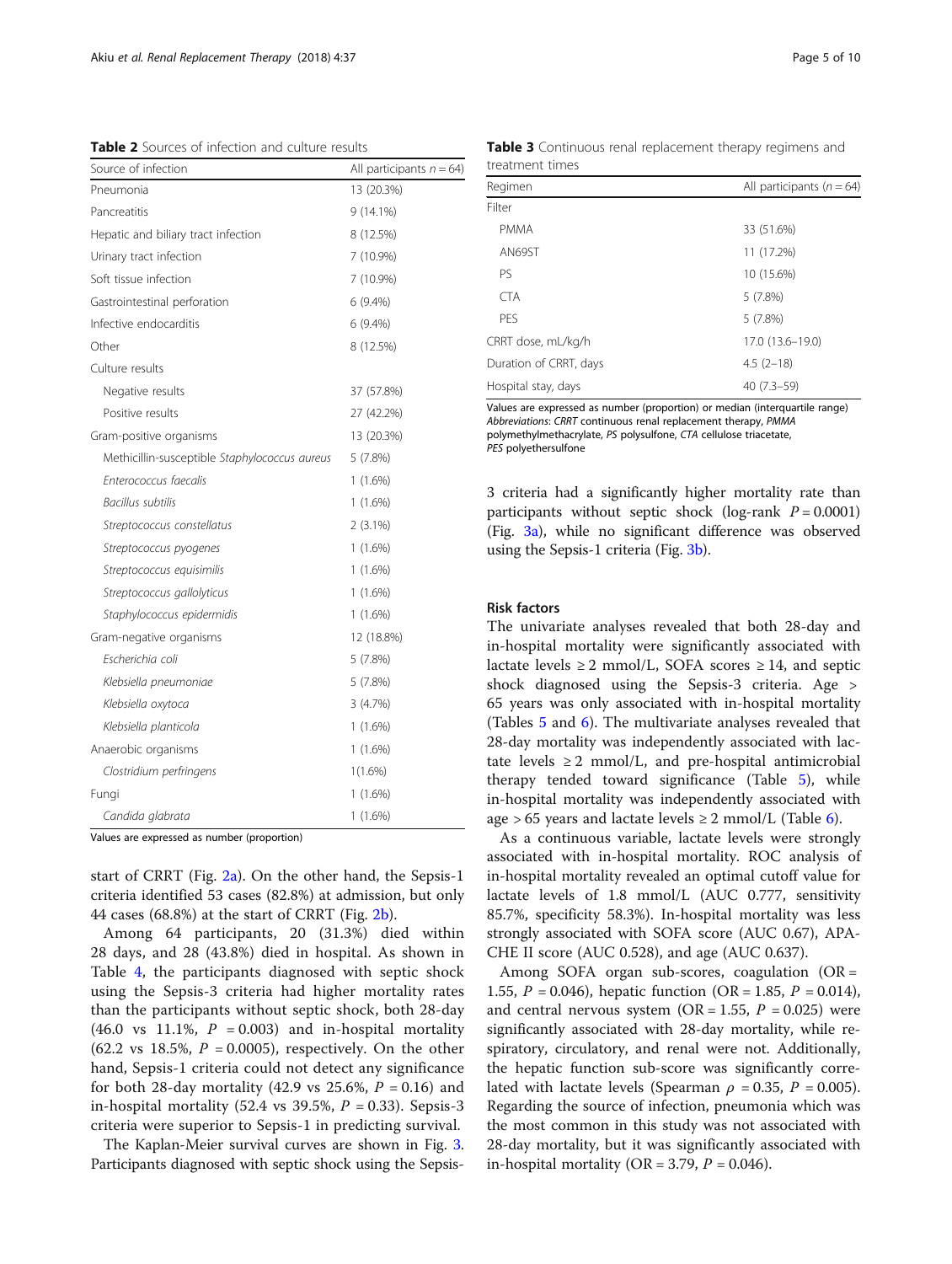<span id="page-4-0"></span>Table 2 Sources of infection and culture results

| Source of infection                           | All participants $n = 64$ ) |  |
|-----------------------------------------------|-----------------------------|--|
| Pneumonia                                     | 13 (20.3%)                  |  |
| Pancreatitis                                  | $9(14.1\%)$                 |  |
| Hepatic and biliary tract infection           | 8 (12.5%)                   |  |
| Urinary tract infection                       | 7 (10.9%)                   |  |
| Soft tissue infection                         | 7 (10.9%)                   |  |
| Gastrointestinal perforation                  | 6(9.4%)                     |  |
| Infective endocarditis                        | $6(9.4\%)$                  |  |
| Other                                         | 8 (12.5%)                   |  |
| Culture results                               |                             |  |
| Negative results                              | 37 (57.8%)                  |  |
| Positive results                              | 27 (42.2%)                  |  |
| Gram-positive organisms                       | 13 (20.3%)                  |  |
| Methicillin-susceptible Staphylococcus aureus | 5 (7.8%)                    |  |
| Enterococcus faecalis                         | $1(1.6\%)$                  |  |
| <b>Bacillus subtilis</b>                      | $1(1.6\%)$                  |  |
| Streptococcus constellatus                    | $2(3.1\%)$                  |  |
| Streptococcus pyogenes                        | $1(1.6\%)$                  |  |
| Streptococcus equisimilis                     | $1(1.6\%)$                  |  |
| Streptococcus gallolyticus                    | $1(1.6\%)$                  |  |
| Staphylococcus epidermidis                    | $1(1.6\%)$                  |  |
| Gram-negative organisms                       | 12 (18.8%)                  |  |
| Escherichia coli                              | 5 (7.8%)                    |  |
| Klebsiella pneumoniae                         | 5 (7.8%)                    |  |
| Klebsiella oxytoca                            | 3(4.7%)                     |  |
| Klebsiella planticola                         | $1(1.6\%)$                  |  |
| Anaerobic organisms                           | $1(1.6\%)$                  |  |
| Clostridium perfringens                       | $1(1.6\%)$                  |  |
| Fungi                                         | $1(1.6\%)$                  |  |
| Candida glabrata                              | $1(1.6\%)$                  |  |
|                                               |                             |  |

Values are expressed as number (proportion)

start of CRRT (Fig. [2a](#page-5-0)). On the other hand, the Sepsis-1 criteria identified 53 cases (82.8%) at admission, but only 44 cases (68.8%) at the start of CRRT (Fig. [2b](#page-5-0)).

Among 64 participants, 20 (31.3%) died within 28 days, and 28 (43.8%) died in hospital. As shown in Table [4](#page-5-0), the participants diagnosed with septic shock using the Sepsis-3 criteria had higher mortality rates than the participants without septic shock, both 28-day (46.0 vs 11.1%,  $P = 0.003$ ) and in-hospital mortality  $(62.2 \text{ vs } 18.5\%, P = 0.0005)$ , respectively. On the other hand, Sepsis-1 criteria could not detect any significance for both 28-day mortality (42.9 vs 25.6%,  $P = 0.16$ ) and in-hospital mortality (52.4 vs 39.5%,  $P = 0.33$ ). Sepsis-3 criteria were superior to Sepsis-1 in predicting survival.

The Kaplan-Meier survival curves are shown in Fig. [3](#page-6-0). Participants diagnosed with septic shock using the Sepsis-

Table 3 Continuous renal replacement therapy regimens and treatment times

| Regimen                | All participants ( $n = 64$ ) |
|------------------------|-------------------------------|
| Filter                 |                               |
| <b>PMMA</b>            | 33 (51.6%)                    |
| AN69ST                 | 11 (17.2%)                    |
| PS                     | 10 (15.6%)                    |
| <b>CTA</b>             | 5(7.8%)                       |
| PFS                    | 5(7.8%)                       |
| CRRT dose, mL/kg/h     | 17.0 (13.6-19.0)              |
| Duration of CRRT, days | $4.5(2-18)$                   |
| Hospital stay, days    | $40(7.3-59)$                  |

Values are expressed as number (proportion) or median (interquartile range) Abbreviations: CRRT continuous renal replacement therapy, PMMA polymethylmethacrylate, PS polysulfone, CTA cellulose triacetate, PES polyethersulfone

3 criteria had a significantly higher mortality rate than participants without septic shock (log-rank  $P = 0.0001$ ) (Fig. [3a\)](#page-6-0), while no significant difference was observed using the Sepsis-1 criteria (Fig. [3b\)](#page-6-0).

#### Risk factors

The univariate analyses revealed that both 28-day and in-hospital mortality were significantly associated with lactate levels  $\geq 2$  mmol/L, SOFA scores  $\geq 14$ , and septic shock diagnosed using the Sepsis-3 criteria. Age > 65 years was only associated with in-hospital mortality (Tables [5](#page-7-0) and [6\)](#page-8-0). The multivariate analyses revealed that 28-day mortality was independently associated with lactate levels  $\geq 2$  mmol/L, and pre-hospital antimicrobial therapy tended toward significance (Table [5\)](#page-7-0), while in-hospital mortality was independently associated with age > 65 years and lactate levels  $\geq 2$  mmol/L (Table [6\)](#page-8-0).

As a continuous variable, lactate levels were strongly associated with in-hospital mortality. ROC analysis of in-hospital mortality revealed an optimal cutoff value for lactate levels of 1.8 mmol/L (AUC 0.777, sensitivity 85.7%, specificity 58.3%). In-hospital mortality was less strongly associated with SOFA score (AUC 0.67), APA-CHE II score (AUC 0.528), and age (AUC 0.637).

Among SOFA organ sub-scores, coagulation (OR = 1.55,  $P = 0.046$ ), hepatic function (OR = 1.85,  $P = 0.014$ ), and central nervous system (OR = 1.55,  $P = 0.025$ ) were significantly associated with 28-day mortality, while respiratory, circulatory, and renal were not. Additionally, the hepatic function sub-score was significantly correlated with lactate levels (Spearman  $\rho = 0.35$ ,  $P = 0.005$ ). Regarding the source of infection, pneumonia which was the most common in this study was not associated with 28-day mortality, but it was significantly associated with in-hospital mortality (OR = 3.79,  $P = 0.046$ ).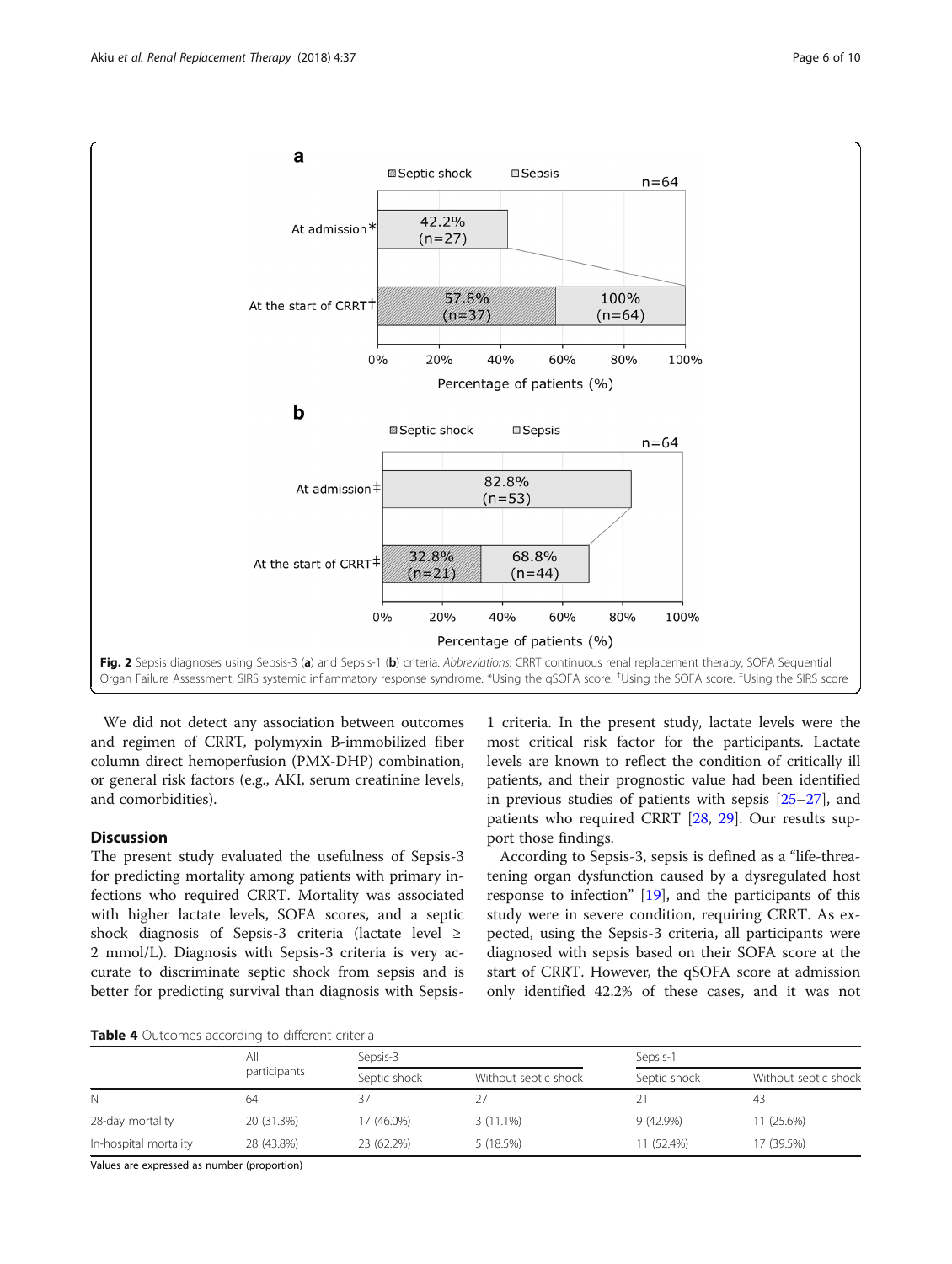<span id="page-5-0"></span>

We did not detect any association between outcomes and regimen of CRRT, polymyxin B-immobilized fiber column direct hemoperfusion (PMX-DHP) combination, or general risk factors (e.g., AKI, serum creatinine levels, and comorbidities).

# Discussion

The present study evaluated the usefulness of Sepsis-3 for predicting mortality among patients with primary infections who required CRRT. Mortality was associated with higher lactate levels, SOFA scores, and a septic shock diagnosis of Sepsis-3 criteria (lactate level ≥ 2 mmol/L). Diagnosis with Sepsis-3 criteria is very accurate to discriminate septic shock from sepsis and is better for predicting survival than diagnosis with Sepsis-

1 criteria. In the present study, lactate levels were the most critical risk factor for the participants. Lactate levels are known to reflect the condition of critically ill patients, and their prognostic value had been identified in previous studies of patients with sepsis [[25](#page-9-0)–[27](#page-9-0)], and patients who required CRRT [[28](#page-9-0), [29](#page-9-0)]. Our results support those findings.

According to Sepsis-3, sepsis is defined as a "life-threatening organ dysfunction caused by a dysregulated host response to infection" [[19\]](#page-9-0), and the participants of this study were in severe condition, requiring CRRT. As expected, using the Sepsis-3 criteria, all participants were diagnosed with sepsis based on their SOFA score at the start of CRRT. However, the qSOFA score at admission only identified 42.2% of these cases, and it was not

Table 4 Outcomes according to different criteria

|                       | Αll<br>participants | Sepsis-3     |                      |              | Sepsis-1             |  |
|-----------------------|---------------------|--------------|----------------------|--------------|----------------------|--|
|                       |                     | Septic shock | Without septic shock | Septic shock | Without septic shock |  |
| N                     | 64                  | 37           | 27                   |              | 43                   |  |
| 28-day mortality      | 20 (31.3%)          | 17 (46.0%)   | $3(11.1\%)$          | 9 (42.9%)    | 11 (25.6%)           |  |
| In-hospital mortality | 28 (43.8%)          | 23 (62.2%)   | 5 (18.5%)            | 11 (52.4%)   | 17 (39.5%)           |  |

Values are expressed as number (proportion)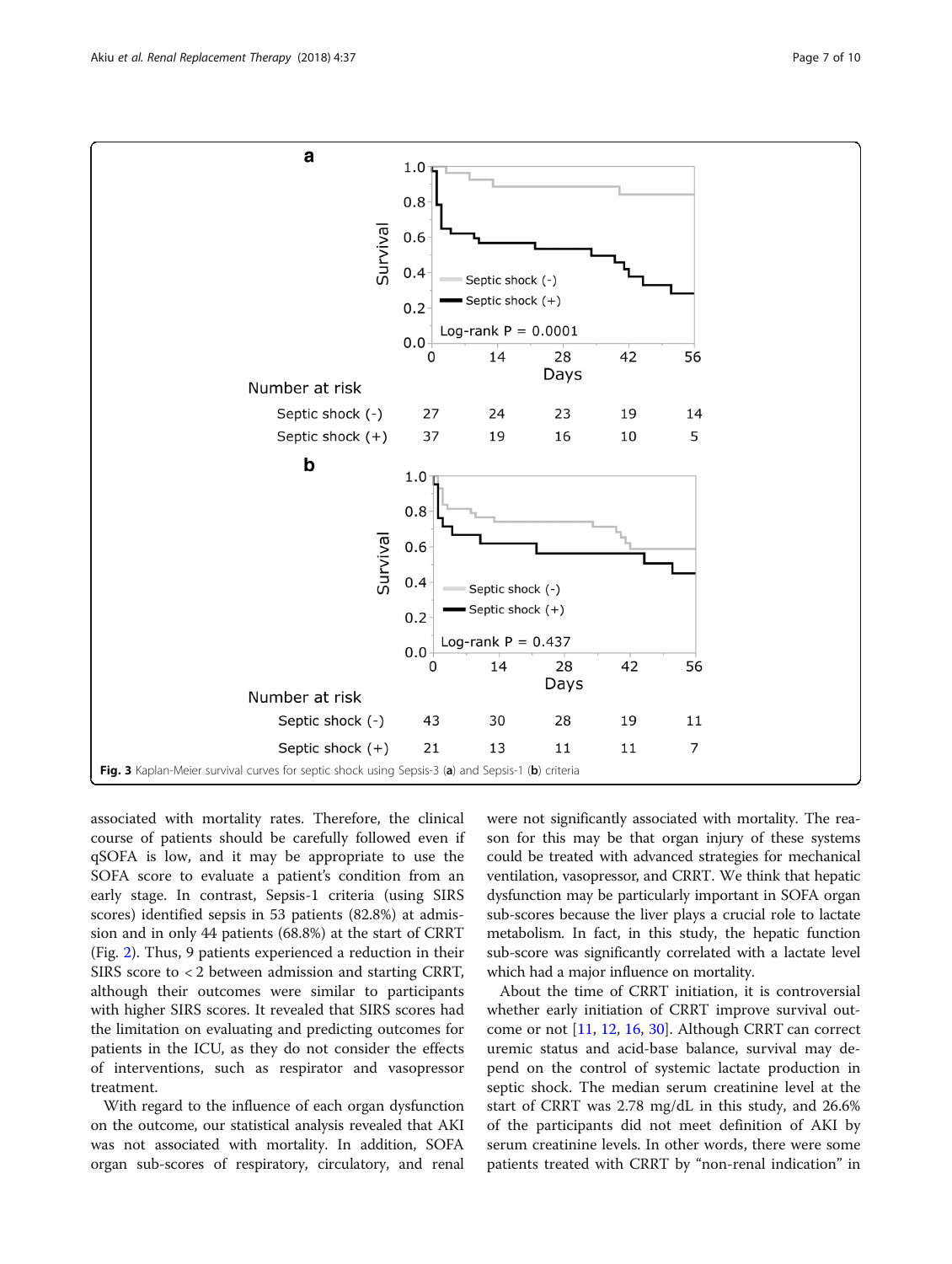<span id="page-6-0"></span>

associated with mortality rates. Therefore, the clinical course of patients should be carefully followed even if qSOFA is low, and it may be appropriate to use the SOFA score to evaluate a patient's condition from an early stage. In contrast, Sepsis-1 criteria (using SIRS scores) identified sepsis in 53 patients (82.8%) at admission and in only 44 patients (68.8%) at the start of CRRT (Fig. [2](#page-5-0)). Thus, 9 patients experienced a reduction in their SIRS score to < 2 between admission and starting CRRT, although their outcomes were similar to participants with higher SIRS scores. It revealed that SIRS scores had the limitation on evaluating and predicting outcomes for patients in the ICU, as they do not consider the effects of interventions, such as respirator and vasopressor treatment.

With regard to the influence of each organ dysfunction on the outcome, our statistical analysis revealed that AKI was not associated with mortality. In addition, SOFA organ sub-scores of respiratory, circulatory, and renal were not significantly associated with mortality. The reason for this may be that organ injury of these systems could be treated with advanced strategies for mechanical ventilation, vasopressor, and CRRT. We think that hepatic dysfunction may be particularly important in SOFA organ sub-scores because the liver plays a crucial role to lactate metabolism. In fact, in this study, the hepatic function sub-score was significantly correlated with a lactate level which had a major influence on mortality.

About the time of CRRT initiation, it is controversial whether early initiation of CRRT improve survival outcome or not [\[11](#page-9-0), [12](#page-9-0), [16,](#page-9-0) [30\]](#page-9-0). Although CRRT can correct uremic status and acid-base balance, survival may depend on the control of systemic lactate production in septic shock. The median serum creatinine level at the start of CRRT was 2.78 mg/dL in this study, and 26.6% of the participants did not meet definition of AKI by serum creatinine levels. In other words, there were some patients treated with CRRT by "non-renal indication" in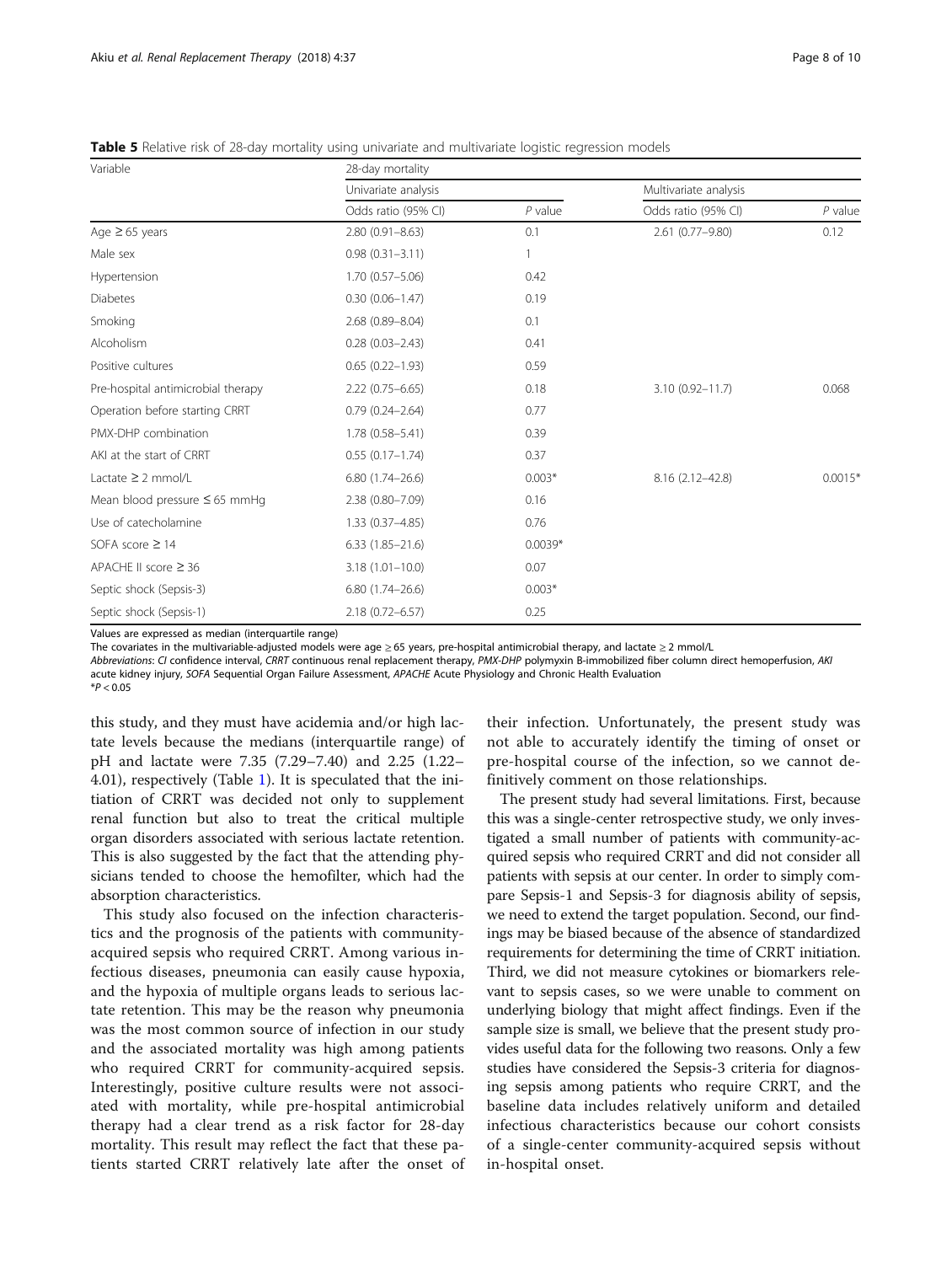<span id="page-7-0"></span>Table 5 Relative risk of 28-day mortality using univariate and multivariate logistic regression models

| Variable                           | 28-day mortality    |           |                       |           |  |
|------------------------------------|---------------------|-----------|-----------------------|-----------|--|
|                                    | Univariate analysis |           | Multivariate analysis |           |  |
|                                    | Odds ratio (95% CI) | $P$ value | Odds ratio (95% CI)   | $P$ value |  |
| Age $\geq 65$ years                | $2.80(0.91 - 8.63)$ | 0.1       | 2.61 (0.77-9.80)      | 0.12      |  |
| Male sex                           | $0.98(0.31 - 3.11)$ |           |                       |           |  |
| Hypertension                       | $1.70(0.57 - 5.06)$ | 0.42      |                       |           |  |
| <b>Diabetes</b>                    | $0.30(0.06 - 1.47)$ | 0.19      |                       |           |  |
| Smoking                            | 2.68 (0.89-8.04)    | 0.1       |                       |           |  |
| Alcoholism                         | $0.28(0.03 - 2.43)$ | 0.41      |                       |           |  |
| Positive cultures                  | $0.65(0.22 - 1.93)$ | 0.59      |                       |           |  |
| Pre-hospital antimicrobial therapy | $2.22(0.75 - 6.65)$ | 0.18      | $3.10(0.92 - 11.7)$   | 0.068     |  |
| Operation before starting CRRT     | $0.79(0.24 - 2.64)$ | 0.77      |                       |           |  |
| PMX-DHP combination                | 1.78 (0.58-5.41)    | 0.39      |                       |           |  |
| AKI at the start of CRRT           | $0.55(0.17 - 1.74)$ | 0.37      |                       |           |  |
| Lactate $\geq$ 2 mmol/L            | $6.80(1.74 - 26.6)$ | $0.003*$  | 8.16 (2.12-42.8)      | $0.0015*$ |  |
| Mean blood pressure $\leq 65$ mmHg | 2.38 (0.80-7.09)    | 0.16      |                       |           |  |
| Use of catecholamine               | 1.33 (0.37-4.85)    | 0.76      |                       |           |  |
| SOFA score $\geq$ 14               | $6.33(1.85 - 21.6)$ | $0.0039*$ |                       |           |  |
| APACHE II score $\geq$ 36          | $3.18(1.01 - 10.0)$ | 0.07      |                       |           |  |
| Septic shock (Sepsis-3)            | $6.80(1.74 - 26.6)$ | $0.003*$  |                       |           |  |
| Septic shock (Sepsis-1)            | 2.18 (0.72-6.57)    | 0.25      |                       |           |  |

Values are expressed as median (interquartile range)

The covariates in the multivariable-adjusted models were age ≥ 65 years, pre-hospital antimicrobial therapy, and lactate ≥ 2 mmol/L

Abbreviations: CI confidence interval, CRRT continuous renal replacement therapy, PMX-DHP polymyxin B-immobilized fiber column direct hemoperfusion, AKI acute kidney injury, SOFA Sequential Organ Failure Assessment, APACHE Acute Physiology and Chronic Health Evaluation

 $*P < 0.05$ 

this study, and they must have acidemia and/or high lactate levels because the medians (interquartile range) of pH and lactate were 7.35 (7.29–7.40) and 2.25 (1.22– 4.01), respectively (Table [1\)](#page-3-0). It is speculated that the initiation of CRRT was decided not only to supplement renal function but also to treat the critical multiple organ disorders associated with serious lactate retention. This is also suggested by the fact that the attending physicians tended to choose the hemofilter, which had the absorption characteristics.

This study also focused on the infection characteristics and the prognosis of the patients with communityacquired sepsis who required CRRT. Among various infectious diseases, pneumonia can easily cause hypoxia, and the hypoxia of multiple organs leads to serious lactate retention. This may be the reason why pneumonia was the most common source of infection in our study and the associated mortality was high among patients who required CRRT for community-acquired sepsis. Interestingly, positive culture results were not associated with mortality, while pre-hospital antimicrobial therapy had a clear trend as a risk factor for 28-day mortality. This result may reflect the fact that these patients started CRRT relatively late after the onset of

their infection. Unfortunately, the present study was not able to accurately identify the timing of onset or pre-hospital course of the infection, so we cannot definitively comment on those relationships.

The present study had several limitations. First, because this was a single-center retrospective study, we only investigated a small number of patients with community-acquired sepsis who required CRRT and did not consider all patients with sepsis at our center. In order to simply compare Sepsis-1 and Sepsis-3 for diagnosis ability of sepsis, we need to extend the target population. Second, our findings may be biased because of the absence of standardized requirements for determining the time of CRRT initiation. Third, we did not measure cytokines or biomarkers relevant to sepsis cases, so we were unable to comment on underlying biology that might affect findings. Even if the sample size is small, we believe that the present study provides useful data for the following two reasons. Only a few studies have considered the Sepsis-3 criteria for diagnosing sepsis among patients who require CRRT, and the baseline data includes relatively uniform and detailed infectious characteristics because our cohort consists of a single-center community-acquired sepsis without in-hospital onset.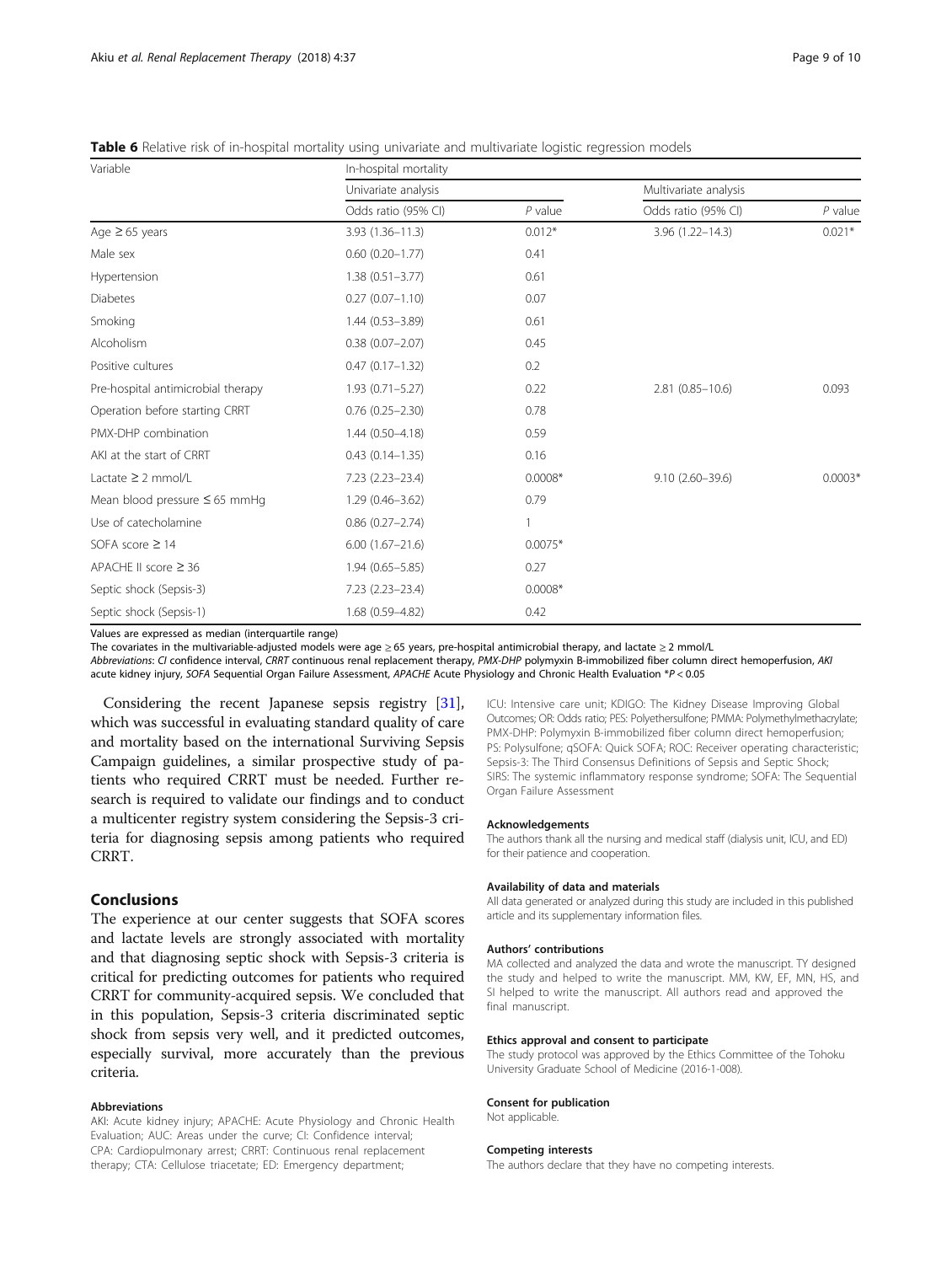<span id="page-8-0"></span>Table 6 Relative risk of in-hospital mortality using univariate and multivariate logistic regression models

| Variable                           | In-hospital mortality  |           |                       |           |  |
|------------------------------------|------------------------|-----------|-----------------------|-----------|--|
|                                    | Univariate analysis    |           | Multivariate analysis |           |  |
|                                    | Odds ratio (95% CI)    | $P$ value | Odds ratio (95% CI)   | $P$ value |  |
| Age $\geq 65$ years                | $3.93(1.36 - 11.3)$    | $0.012*$  | $3.96(1.22 - 14.3)$   | $0.021*$  |  |
| Male sex                           | $0.60(0.20 - 1.77)$    | 0.41      |                       |           |  |
| Hypertension                       | $1.38(0.51 - 3.77)$    | 0.61      |                       |           |  |
| <b>Diabetes</b>                    | $0.27(0.07 - 1.10)$    | 0.07      |                       |           |  |
| Smoking                            | $1.44(0.53 - 3.89)$    | 0.61      |                       |           |  |
| Alcoholism                         | $0.38(0.07 - 2.07)$    | 0.45      |                       |           |  |
| Positive cultures                  | $0.47(0.17 - 1.32)$    | 0.2       |                       |           |  |
| Pre-hospital antimicrobial therapy | $1.93(0.71 - 5.27)$    | 0.22      | $2.81(0.85 - 10.6)$   | 0.093     |  |
| Operation before starting CRRT     | $0.76(0.25 - 2.30)$    | 0.78      |                       |           |  |
| PMX-DHP combination                | $1.44(0.50 - 4.18)$    | 0.59      |                       |           |  |
| AKI at the start of CRRT           | $0.43(0.14 - 1.35)$    | 0.16      |                       |           |  |
| Lactate $\geq$ 2 mmol/L            | 7.23 (2.23-23.4)       | $0.0008*$ | $9.10(2.60 - 39.6)$   | $0.0003*$ |  |
| Mean blood pressure $\leq 65$ mmHq | $1.29(0.46 - 3.62)$    | 0.79      |                       |           |  |
| Use of catecholamine               | $0.86$ $(0.27 - 2.74)$ | 1         |                       |           |  |
| SOFA score $\geq$ 14               | $6.00(1.67 - 21.6)$    | $0.0075*$ |                       |           |  |
| APACHE II score $\geq$ 36          | $1.94(0.65 - 5.85)$    | 0.27      |                       |           |  |
| Septic shock (Sepsis-3)            | 7.23 (2.23-23.4)       | $0.0008*$ |                       |           |  |
| Septic shock (Sepsis-1)            | 1.68 (0.59-4.82)       | 0.42      |                       |           |  |

Values are expressed as median (interquartile range)

The covariates in the multivariable-adjusted models were age ≥ 65 years, pre-hospital antimicrobial therapy, and lactate ≥ 2 mmol/L

Abbreviations: CI confidence interval, CRRT continuous renal replacement therapy, PMX-DHP polymyxin B-immobilized fiber column direct hemoperfusion, AKI acute kidney injury, SOFA Sequential Organ Failure Assessment, APACHE Acute Physiology and Chronic Health Evaluation \*P < 0.05

Considering the recent Japanese sepsis registry [[31](#page-9-0)], which was successful in evaluating standard quality of care and mortality based on the international Surviving Sepsis Campaign guidelines, a similar prospective study of patients who required CRRT must be needed. Further research is required to validate our findings and to conduct a multicenter registry system considering the Sepsis-3 criteria for diagnosing sepsis among patients who required CRRT.

# Conclusions

The experience at our center suggests that SOFA scores and lactate levels are strongly associated with mortality and that diagnosing septic shock with Sepsis-3 criteria is critical for predicting outcomes for patients who required CRRT for community-acquired sepsis. We concluded that in this population, Sepsis-3 criteria discriminated septic shock from sepsis very well, and it predicted outcomes, especially survival, more accurately than the previous criteria.

#### Abbreviations

AKI: Acute kidney injury; APACHE: Acute Physiology and Chronic Health Evaluation; AUC: Areas under the curve; CI: Confidence interval; CPA: Cardiopulmonary arrest; CRRT: Continuous renal replacement therapy; CTA: Cellulose triacetate; ED: Emergency department;

ICU: Intensive care unit; KDIGO: The Kidney Disease Improving Global Outcomes; OR: Odds ratio; PES: Polyethersulfone; PMMA: Polymethylmethacrylate; PMX-DHP: Polymyxin B-immobilized fiber column direct hemoperfusion; PS: Polysulfone; qSOFA: Quick SOFA; ROC: Receiver operating characteristic; Sepsis-3: The Third Consensus Definitions of Sepsis and Septic Shock; SIRS: The systemic inflammatory response syndrome; SOFA: The Sequential Organ Failure Assessment

#### Acknowledgements

The authors thank all the nursing and medical staff (dialysis unit, ICU, and ED) for their patience and cooperation.

#### Availability of data and materials

All data generated or analyzed during this study are included in this published article and its supplementary information files.

#### Authors' contributions

MA collected and analyzed the data and wrote the manuscript. TY designed the study and helped to write the manuscript. MM, KW, EF, MN, HS, and SI helped to write the manuscript. All authors read and approved the final manuscript.

#### Ethics approval and consent to participate

The study protocol was approved by the Ethics Committee of the Tohoku University Graduate School of Medicine (2016-1-008).

#### Consent for publication

Not applicable.

#### Competing interests

The authors declare that they have no competing interests.